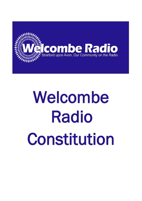

# Welcombe Radio Constitution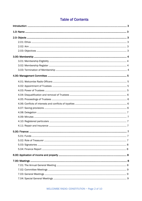# Table of Contents

| 5.00: Finance: | . 7 |
|----------------|-----|
|                |     |
|                |     |
|                |     |
|                |     |
|                |     |
|                |     |
|                |     |
|                |     |
|                |     |
|                |     |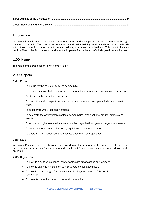# Introduction:

Welcombe Radio is made up of volunteers who are interested in supporting the local community through the medium of radio. The work of the radio station is aimed at helping develop and strengthen the bonds within the community, connecting with both individuals, groups and organisations. This constitution sets out how Welcombe Radio is set up and how it will operate for the benefit of all who join it as a volunteer.

# 1.00: Name

The name of the organisation is, Welcombe Radio.

# 2.00: Objects

### 2.01: Ethos

- To be run for the community by the community.
- To behave in a way that is conducive to promoting a harmonious Broadcasting environment.
- Dedicated to the pursuit of excellence.
- To treat others with respect, be reliable, supportive, respective, open minded and open to learn.
- To collaborate with other organisations.
- To celebrate the achievements of local communities, organisations, groups, projects and events.
- To support and give voice to local communities, organisations, groups, projects and events.
- To strive to operate in a professional, inquisitive and curious manner.
- To operate as an independent non-political, non-religious organisation.

### 2.02: Aims

Welcombe Radio is a not-for-profit community-based, volunteer-run radio station which aims to serve the local community by providing a platform for individuals and groups to disseminate, inform, educate and entertain.

### 2.03: Objectives

- To provide a suitably equipped, comfortable, safe broadcasting environment.
- To provide basic training and on-going support including technical.
- To provide a wide range of programmes reflecting the interests of the local community.
- To promote the radio station to the local community.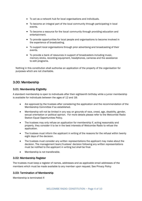- To act as a network hub for local organisations and individuals.
- To become an integral part of the local community through participating in local events.
- To become a resource for the local community through providing education and entertainment.
- To provide opportunities for local people and organisations to become involved in the experience of broadcasting.
- To support local organisations through prior advertising and broadcasting of their events.
- To provide a bank of resources in support of broadcasters including music, memory sticks, recording equipment, headphones, cameras and the assistance to edit programs.

Nothing in this constitution shall authorise an application of the property of the organisation for purposes which are not charitable.

# 3.00: Membership

### 3.01: Membership Eligibility

A standard membership is open to individuals after their eighteenth birthday while a junior membership is available for individuals between the ages of 12 and 18:

- Are approved by the trustees after considering the application and the recommendation of the Membership Committee if so established.
- Membership will not be limited in any way on grounds of race, creed, age, disability, gender, sexual orientation or political opinion. For more details please refer to the Welcombe Radio Station Equal Opportunities Policy.
- The trustees may only refuse an application for membership if, acting reasonably and properly, they consider it to be in the best interests of Welcombe Radio to refuse the application.
- The trustees must inform the applicant in writing of the reasons for the refusal within twenty eight days of the decision.
- The trustees must consider any written representations the applicant may make about the decision. The management team/trustees' decision following any written representations must be notified to the applicant in writing but shall be final.
- Membership is not transferable.

### 3.02: Membership Register

The trustees must keep a register of names, addresses and as applicable email addresses of the members which must be made available to any member upon request. See Privacy Policy

### 3.03: Termination of Membership

Membership is terminated if: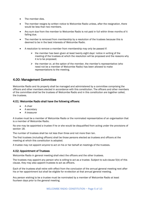- The member dies.
- The member resigns by written notice to Welcombe Radio unless, after the resignation, there would be less than two members.
- Any sum due from the member to Welcombe Radio is not paid in full within three months of it falling due.
- The member is removed from membership by a resolution of the trustees because this is deemed to be in the best interests of Welcombe Radio.
- A resolution to remove a member from membership may only be passed if:
	- $\triangleright$  the member has been given at least twenty eight days' notice in writing of the meeting of the trustees at which the resolution will be proposed and the reasons why it is to be proposed;
	- $\triangleright$  the member or, at the option of the member, the member's representative (who need not be a member of Welcombe Radio) has been allowed to make representations to the meeting.

# 4.00: Management Committee

Welcombe Radio and its property shall be managed and administered by a committee comprising the officers and other members elected in accordance with this constitution. The officers and other members of the committee shall be the trustees of Welcombe Radio and in this constitution are together called, the trustees.

### 4.01: Welcombe Radio shall have the following officers:

- A chair
- A secretary
- A treasurer

A trustee must be a member of Welcombe Radio or the nominated representative of an organisation that is a member of Welcombe Radio.

No one may be appointed a trustee if he or she would be disqualified from acting under the provisions of section 18.

The number of trustees shall be not less than three and not more than ten.

The first trustees (including officers) shall be those persons elected as trustees and officers at the meeting at which this constitution is adopted.

A trustee may not appoint anyone to act on his or her behalf at meetings of the trustees.

### 4.02: Appointment of Trustees

Welcombe Radio in general meeting shall elect the officers and the other trustees.

The trustees may appoint any person who is willing to act as a trustee. Subject to sub-clause 5(b) of this clause, they may also appoint trustees to act as officers.

Each of the trustees shall retire with effect from the conclusion of the annual general meeting next after his or her appointment but shall be eligible for re-election at that annual general meeting.

Any person wishing to be a trustee must be nominated by a member of Welcombe Radio at least fourteen days prior to the general meeting.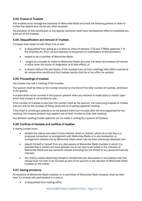### 4.03: Powers of Trustees

The trustees must manage the business of Welcombe Radio and have the following powers in order to further the objects (but not for any other purpose).

No alteration of this constitution or any special resolution shall have retrospective effect to invalidate any prior act of the trustees.

### 4.04: Disqualification and removal of Trustees

A trustee shall cease to hold office if he or she:

- is disqualified from acting as a trustee by virtue of sections 178 and 179See appendix ? of the Charities Act 2011 (or any statutory re-enactment or modification of that provision);
- ceases to be a member of Welcombe Radio;
- resigns as a trustee by notice to Welcombe Radio (but only if at least two trustees will remain in office when the notice of resignation is to take effect); or
- is absent without the permission of the trustees from all their meetings held within a period of six consecutive months and the trustees resolve that his or her office be vacated.

### 4.05: Proceedings of trustees

Any trustee may call a meeting of the trustees.

The quorum shall be three or the number nearest to one-third of the total number of trustees, whichever is the greater.

A trustee shall not be counted in the quorum present when any decision is made about a matter upon which that trustee is not entitled to vote.

If the number of trustees is less than the number fixed as the quorum, the continuing trustees or trustee may act only for the purpose of filling vacancies or of calling a general meeting.

If the Chair is unwilling to preside or is not present within ten minutes after the time appointed for the meeting, the trustees present may appoint one of their number to chair that meeting.

Any decision needing trustee approval can be made in writing by a quorum of trustees.

### 4.06: Conflicts of interests and conflicts of loyalties

A charity trustee must:

- declare the nature and extent of any interest, direct or indirect, which he or she has in a proposed transaction or arrangement with Welcombe Radio or in any transaction or arrangement entered into by Welcombe Radio which has not been previously declared; and
- absent himself or herself from any discussions of Welcombe Radio trustees in which it is possible that a conflict will arise between his or her duty to act solely in the interests of Welcombe Radio and any personal interest (including but not limited to any personal financial interest).
- Any charity trustee absenting himself or herself from any discussions in accordance with this clause must not vote or be counted as part of the quorum in any decision of Welcombe Radio trustees on the matter.

### 4.07: Saving provisions

All decisions of Welcombe Radio trustees, or a committee of Welcombe Radio trustees, shall be valid even if a trustee who participated in a vote is:

is disqualified from holding office;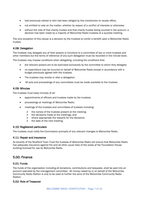- had previously retired or who had been obliged by this constitution to vacate office;
- not entitled to vote on the matter, whether by reason of a conflict of interests or otherwise;
- without the vote of that charity trustee and that charity trustee being counted in the quorum, a decision has been made by a majority of Welcombe Radio trustees at a quorate meeting.

The only exception of this clause is a decision by the trustees to confer a benefit upon a Welcombe Radio trustee.

### 4.08: Delegation

The trustees may delegate any of their powers or functions to a committee of two or more trustees and other members but the terms of reference of any such delegation must be recorded in the minute book.

The trustees may impose conditions when delegating, including the conditions that:

- the relevant powers are to be exercised exclusively by the committee to whom they delegate;
- no expenditure may be incurred on behalf of Welcombe Radio except in accordance with a budget previously agreed with the trustees.
- The trustees may revoke or alter a delegation.
- All acts and proceedings of any committees must be made available to the trustees.

### 4.09: Minutes

The trustees must keep minutes of all:

- appointments of officers and trustees made by the trustees;
- proceedings at meetings of Welcombe Radio;
- meetings of the trustees and committees of trustees including:
	- $\triangleright$  the names of the trustees present at the meeting:
	- $\triangleright$  the decisions made at the meetings; and
	- $\triangleright$  where appropriate the reasons for the decisions.
	- $\triangleright$  the date of the next meeting.

### 4.10: Registered particulars

The trustees must notify the Commission promptly of any relevant changes to Welcombe Radio.

### 4.11: Repair and insurance

As tenants of the Stratford Town Trust the trustees of Welcombe Radio will ensure that Welcombe Radio has adequate insurance against fire and all other usual risks of the areas of the Foundation House building licensed for use by Welcombe Radio.

## 5.00: Finance

### 5.01: Funds

The funds of the organisation including all donations, contributions and bequests, shall be paid into an account operated by the management committee. All money raised by or on behalf of the Welcombe Community Radio Station is only to be used to further the aims of the Welcombe Community Radio Station.

### 5.02: Role of Treasurer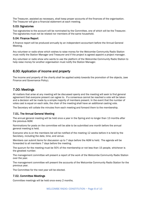The Treasurer, assisted as necessary, shall keep proper accounts of the finances of the organisation. The Treasurer will give a financial statement at each meeting.

### 5.03: Signatories

Two signatories to the account will be nominated by the Committee, one of which will be the Treasurer. The signatories must not be related nor members of the same household.

### 5.04: Finance Report

A finance report will be produced annually by an independent accountant before the Annual General Meeting.

Any volunteer or radio show which wishes to raise money for the Welcombe Community Radio Station must notify the Station Manager and Treasurer and if the project is agreed appoint a project manager.

Any volunteer or radio show who wants to use the platform of the Welcombe Community Radio Station to help raise money for another organisation must notify the Station Manager.

# 6.00: Application of income and property

The income and property of the charity shall be applied solely towards the promotion of the objects, (see Finance and Governance Policy).

# 7.00: Meetings

All matters that arise at any meeting will be discussed openly and the meeting will seek to find general agreement that everyone present can agree to. If a consensus cannot be reached a vote will be taken and a decision will be made by a simple majority of members present. In the event that the number of votes cast is equal on each side, the chair of the meeting shall have an additional casting vote.

The Secretary will collate the minutes from each meeting and forward them to the membership.

### 7.01. The Annual General Meeting

The annual general meeting will be held once a year in the Spring and no longer than 13 months after the previous AGM.

Nominations for posts on the committee will be able to be submitted one month before the annual general meeting is held.

Everyone who is on the members list will be notified of the meeting 12 weeks before it is held by the Secretary, including the date, time, and venue.

Members can submit items for discussion up to 7 days before the AGM is held. The agenda will be forwarded to all members 7 days before the meeting.

The quorum for the meeting must be 50% of the membership or not less than 15 people, whichever is the greatest number.

The management committee will present a report of the work of the Welcombe Community Radio Station over the year.

The management committee will present the accounts of the Welcombe Community Radio Station for the previous year.

The Committee for the next year will be elected.

### 7.02. Committee Meetings

Committee meetings will be held once every 2 months.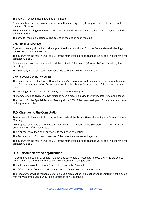The quorum for each meeting will be 5 members.

Other members are able to attend any committee meeting if they have given prior notification to the Chair and Secretary.

Prior to each meeting the Secretary will send out notification of the date, time, venue, agenda and who will be attending.

The date for the next meeting will be agreed at the end of each meeting.

### 7.03. General Meetings

A general meeting will be held twice a year, the first 4 months on from the Annual General Meeting and the second 4 months after that.

The quorum for the meeting will be 50% of the membership or not less than 15 people, whichever is the greatest number.

Everyone who is on the members list will be notified of the meeting 6 weeks before it is held by the Secretary.

The Secretary will inform each member of the date, time, venue and agenda.

### 7.04: Special General Meetings

The Secretary may call a Special General Meeting at the request of the majority of the committee or at least 10 other members giving a written request to the Chair or Secretary stating the reason for their request.

The meeting will take place within twenty one days of the request.

All members will be given 14 days' notice of such a meeting, giving the venue, date, time and agenda.

The quorum for the Special General Meeting will be 30% of the membership or 15 members, whichever is the greater number.

# 8.0. Changes to the Constitution

Amendments to the constitution may only be made at the Annual General Meeting or a Special General Meeting.

Any proposal to amend the constitution must be given in writing to the Secretary who is to inform all other members of the committee.

The proposal must then be circulated with the notice of meeting.

The Secretary will inform each member of the date, time, venue and agenda.

The quorum for the meeting will be 60% of the membership or not less than 20 people, whichever is the greatest number.

# 9.0. Dissolution of the organisation

If a committee meeting, by simple majority, decides that it is necessary to close down the Welcombe Community Radio Station it may call a Special General Meeting to do so.

The sole business of this meeting will be to dissolve the Association.

The Officers of the Committee will be responsible for carrying out the dissolution.

The Press Officer will be responsible for placing a press notice in a local newspaper informing the public that the Welcombe Community Radio Station is being dissolved.